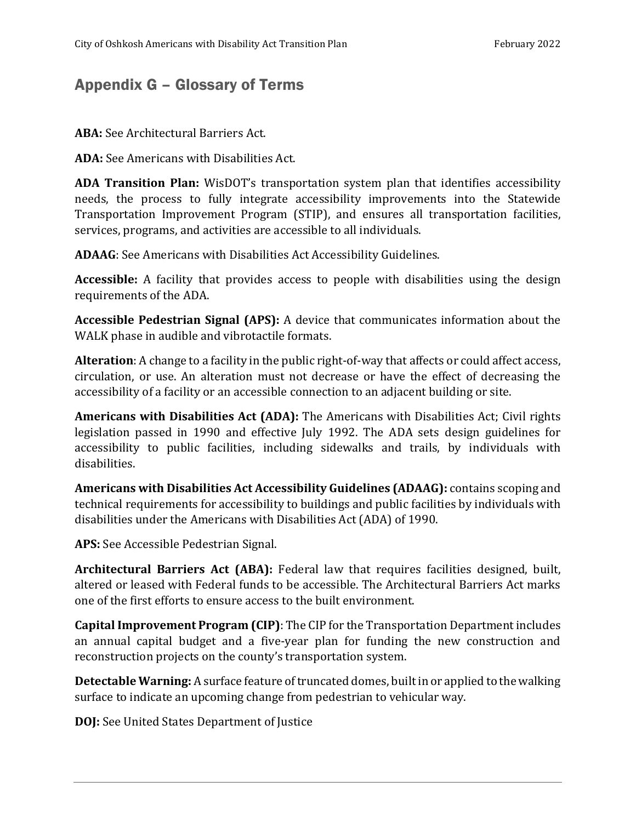## Appendix G – Glossary of Terms

**ABA:** See Architectural Barriers Act.

**ADA:** See Americans with Disabilities Act.

**ADA Transition Plan:** WisDOT's transportation system plan that identifies accessibility needs, the process to fully integrate accessibility improvements into the Statewide Transportation Improvement Program (STIP), and ensures all transportation facilities, services, programs, and activities are accessible to all individuals.

**ADAAG**: See Americans with Disabilities Act Accessibility Guidelines.

**Accessible:** A facility that provides access to people with disabilities using the design requirements of the ADA.

**Accessible Pedestrian Signal (APS):** A device that communicates information about the WALK phase in audible and vibrotactile formats.

**Alteration**: A change to a facility in the public right-of-way that affects or could affect access, circulation, or use. An alteration must not decrease or have the effect of decreasing the accessibility of a facility or an accessible connection to an adjacent building or site.

**Americans with Disabilities Act (ADA):** The Americans with Disabilities Act; Civil rights legislation passed in 1990 and effective July 1992. The ADA sets design guidelines for accessibility to public facilities, including sidewalks and trails, by individuals with disabilities.

**Americans with Disabilities Act Accessibility Guidelines (ADAAG):** contains scoping and technical requirements for accessibility to buildings and public facilities by individuals with disabilities under the Americans with Disabilities Act (ADA) of 1990.

**APS:** See Accessible Pedestrian Signal.

**Architectural Barriers Act (ABA):** Federal law that requires facilities designed, built, altered or leased with Federal funds to be accessible. The Architectural Barriers Act marks one of the first efforts to ensure access to the built environment.

**Capital Improvement Program (CIP)**: The CIP for the Transportation Department includes an annual capital budget and a five-year plan for funding the new construction and reconstruction projects on the county's transportation system.

**Detectable Warning:** A surface feature of truncated domes, built in or applied to the walking surface to indicate an upcoming change from pedestrian to vehicular way.

**DOJ:** See United States Department of Justice